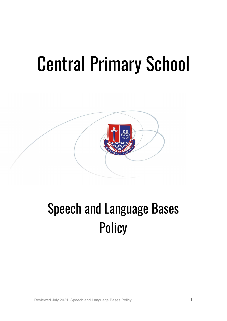# Central Primary School



# Speech and Language Bases **Policy**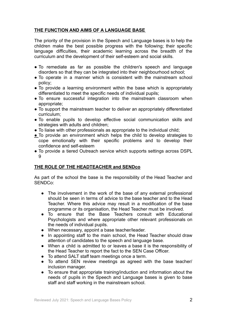# **THE FUNCTION AND AIMS OF A LANGUAGE BASE**

The priority of the provision in the Speech and Language bases is to help the children make the best possible progress with the following; their specific language difficulties, their academic learning across the breadth of the curriculum and the development of their self-esteem and social skills.

- To remediate as far as possible the children's speech and language disorders so that they can be integrated into their neighbourhood school;
- To operate in a manner which is consistent with the mainstream school policy;
- To provide a learning environment within the base which is appropriately differentiated to meet the specific needs of individual pupils;
- To ensure successful integration into the mainstream classroom when appropriate;
- To support the mainstream teacher to deliver an appropriately differentiated curriculum;
- To enable pupils to develop effective social communication skills and strategies with adults and children;
- To liaise with other professionals as appropriate to the individual child;
- To provide an environment which helps the child to develop strategies to cope emotionally with their specific problems and to develop their confidence and self-esteem
- To provide a tiered Outreach service which supports settings across DSPL 9

# **THE ROLE OF THE HEADTEACHER and SENDco**

As part of the school the base is the responsibility of the Head Teacher and SENDCo:

- The involvement in the work of the base of any external professional should be seen in terms of advice to the base teacher and to the Head Teacher. Where this advice may result in a modification of the base programme or its organisation, the Head Teacher must be involved.
- To ensure that the Base Teachers consult with Educational Psychologists and where appropriate other relevant professionals on the needs of individual pupils.
- When necessary, appoint a base teacher/leader.
- In appointing staff to the main school, the Head Teacher should draw attention of candidates to the speech and language base.
- When a child is admitted to or leaves a base it is the responsibility of the Head Teacher to report the fact to the SEN Case Officer.
- To attend SALT staff team meetings once a term.
- To attend SEN review meetings as agreed with the base teacher/ inclusion manager.
- To ensure that appropriate training/induction and information about the needs of pupils in the Speech and Language bases is given to base staff and staff working in the mainstream school.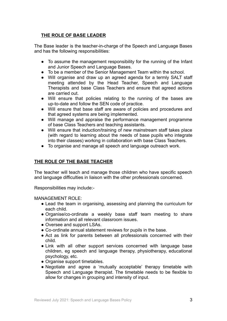# **THE ROLE OF BASE LEADER**

The Base leader is the teacher-in-charge of the Speech and Language Bases and has the following responsibilities:

- To assume the management responsibility for the running of the Infant and Junior Speech and Language Bases.
- To be a member of the Senior Management Team within the school.
- Will organise and draw up an agreed agenda for a termly SALT staff meeting attended by the Head Teacher, Speech and Language Therapists and base Class Teachers and ensure that agreed actions are carried out.
- Will ensure that policies relating to the running of the bases are up-to-date and follow the SEN code of practice.
- Will ensure that base staff are aware of policies and procedures and that agreed systems are being implemented.
- Will manage and appraise the performance management programme of base Class Teachers and teaching assistants.
- Will ensure that induction/training of new mainstream staff takes place (with regard to learning about the needs of base pupils who integrate into their classes) working in collaboration with base Class Teachers.
- To organise and manage all speech and language outreach work.

# **THE ROLE OF THE BASE TEACHER**

The teacher will teach and manage those children who have specific speech and language difficulties in liaison with the other professionals concerned.

Responsibilities may include:-

#### MANAGEMENT ROLE:

- Lead the team in organising, assessing and planning the curriculum for each child.
- Organise/co-ordinate a weekly base staff team meeting to share information and all relevant classroom issues.
- Oversee and support LSAs.
- Co-ordinate annual statement reviews for pupils in the base.
- Act as link for parents between all professionals concerned with their child.
- Link with all other support services concerned with language base children, eg speech and language therapy, physiotherapy, educational psychology, etc.
- Organise support timetables.
- Negotiate and agree a 'mutually acceptable' therapy timetable with Speech and Language therapist. The timetable needs to be flexible to allow for changes in grouping and intensity of input.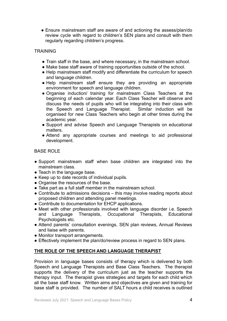• Ensure mainstream staff are aware of and actioning the assess/plan/do review cycle with regard to children's SEN plans and consult with them regularly regarding children's progress.

#### TRAINING

- Train staff in the base, and where necessary, in the mainstream school.
- Make base staff aware of training opportunities outside of the school.
- Help mainstream staff modify and differentiate the curriculum for speech and language children.
- Help mainstream staff ensure they are providing an appropriate environment for speech and language children.
- Organise induction/ training for mainstream Class Teachers at the beginning of each calendar year. Each Class Teacher will observe and discuss the needs of pupils who will be integrating into their class with the Speech and Language Therapist. Similar induction will be organised for new Class Teachers who begin at other times during the academic year.
- Support and advise Speech and Language Therapists on educational matters.
- Attend any appropriate courses and meetings to aid professional development.

#### BASE ROLE

- Support mainstream staff when base children are integrated into the mainstream class.
- Teach in the language base.
- Keep up to date records of individual pupils.
- Organise the resources of the base.
- Take part as a full staff member in the mainstream school.
- Contribute to admissions decisions this may involve reading reports about proposed children and attending panel meetings.
- Contribute to documentation for EHCP applications.
- Meet with other professionals involved with language disorder i.e. Speech and Language Therapists, Occupational Therapists, Educational Psychologists etc.
- Attend parents' consultation evenings, SEN plan reviews, Annual Reviews and liaise with parents.
- Monitor transport arrangements.
- Effectively implement the plan/do/review process in regard to SEN plans.

# **THE ROLE OF THE SPEECH AND LANGUAGE THERAPIST**

Provision in language bases consists of therapy which is delivered by both Speech and Language Therapists and Base Class Teachers. The therapist supports the delivery of the curriculum just as the teacher supports the therapy input. The therapist gives strategies and targets for each child which all the base staff know. Written aims and objectives are given and training for base staff is provided. The number of SALT hours a child receives is outlined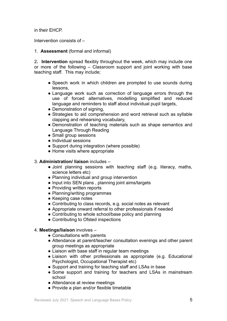in their EHCP.

Intervention consists of –

1. **Assessment** (formal and informal)

2**. Intervention** spread flexibly throughout the week, which may include one or more of the following – Classroom support and joint working with base teaching staff. This may include;

- Speech work in which children are prompted to use sounds during lessons,
- Language work such as correction of language errors through the use of forced alternatives, modelling simplified and reduced language and reminders to staff about individual pupil targets,
- Demonstration of signing,
- Strategies to aid comprehension and word retrieval such as syllable clapping and rehearsing vocabulary,
- Demonstration of teaching materials such as shape semantics and Language Through Reading
- Small group sessions
- Individual sessions
- Support during integration (where possible)
- Home visits where appropriate

#### 3. **Administration/ liaison** includes –

- Joint planning sessions with teaching staff (e.g. literacy, maths, science letters etc)
- Planning individual and group intervention
- Input into SEN plans , planning joint aims/targets
- Providing written reports
- Planning/writing programmes
- Keeping case notes
- Contributing to class records, e.g. social notes as relevant
- Appropriate onward referral to other professionals if needed
- Contributing to whole school/base policy and planning
- Contributing to Ofsted inspections

#### 4. **Meetings/liaison** involves –

- Consultations with parents
- Attendance at parent/teacher consultation evenings and other parent group meetings as appropriate
- Liaison with base staff in regular team meetings
- Liaison with other professionals as appropriate (e.g. Educational Psychologist, Occupational Therapist etc)
- Support and training for teaching staff and LSAs in base
- Some support and training for teachers and LSAs in mainstream school
- Attendance at review meetings
- Provide a plan and/or flexible timetable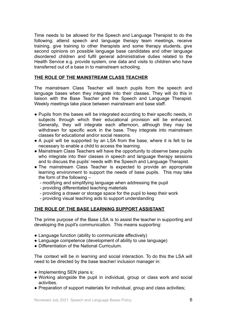Time needs to be allowed for the Speech and Language Therapist to do the following; attend speech and language therapy team meetings, receive training, give training to other therapists and some therapy students, give second opinions on possible language base candidates and other language disordered children and fulfil general administrative duties related to the Health Service e.g. provide system, one data and visits to children who have transferred out of a base in to mainstream schooling.

#### **THE ROLE OF THE MAINSTREAM CLASS TEACHER**

The mainstream Class Teacher will teach pupils from the speech and language bases when they integrate into their classes. They will do this in liaison with the Base Teacher and the Speech and Language Therapist. Weekly meetings take place between mainstream and base staff.

- Pupils from the bases will be integrated according to their specific needs, in subjects through which their educational provision will be enhanced. Generally, they will integrate each afternoon, although they may be withdrawn for specific work in the base. They integrate into mainstream classes for educational and/or social reasons.
- A pupil will be supported by an LSA from the base, where it is felt to be necessary to enable a child to access the learning.
- Mainstream Class Teachers will have the opportunity to observe base pupils who integrate into their classes in speech and language therapy sessions and to discuss the pupils' needs with the Speech and Language Therapist.
- The mainstream Class Teacher is expected to provide an appropriate learning environment to support the needs of base pupils. This may take the form of the following –
	- modifying and simplifying language when addressing the pupil
	- providing differentiated teaching materials
	- providing a drawer or storage space for the pupil to keep their work
	- providing visual teaching aids to support understanding

#### **THE ROLE OF THE BASE LEARNING SUPPORT ASSISTANT**

The prime purpose of the Base LSA is to assist the teacher in supporting and developing the pupil's communication. This means supporting:

- Language function (ability to communicate effectively)
- Language competence (development of ability to use language)
- Differentiation of the National Curriculum.

The context will be in learning and social interaction. To do this the LSA will need to be directed by the base teacher/ inclusion manager in:

- Implementing SEN plans s;
- Working alongside the pupil in individual, group or class work and social activities.
- Preparation of support materials for individual, group and class activities;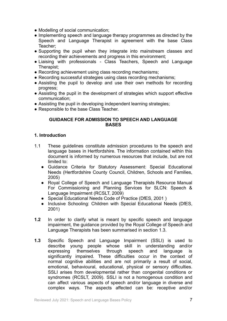- Modelling of social communication;
- Implementing speech and language therapy programmes as directed by the Speech and Language Therapist in agreement with the base Class Teacher;
- Supporting the pupil when they integrate into mainstream classes and recording their achievements and progress in this environment;
- Liaising with professionals Class Teachers, Speech and Language Therapist;
- Recording achievement using class recording mechanisms;
- Recording successful strategies using class recording mechanisms;
- Assisting the pupil to develop and use their own methods for recording progress;
- Assisting the pupil in the development of strategies which support effective communication;
- Assisting the pupil in developing independent learning strategies;
- Responsible to the base Class Teacher.

#### **GUIDANCE FOR ADMISSION TO SPEECH AND LANGUAGE BASES**

#### **1. Introduction**

- 1.1 These guidelines constitute admission procedures to the speech and language bases in Hertfordshire. The information contained within this document is informed by numerous resources that include, but are not limited to:
	- Guidance Criteria for Statutory Assessment: Special Educational Needs (Hertfordshire County Council, Children, Schools and Families, 2005)
	- Royal College of Speech and Language Therapists Resource Manual For Commissioning and Planning Services for SLCN: Speech & Language Impairment (RCSLT, 2009)
	- Special Educational Needs Code of Practice (DfES, 2001 )
	- Inclusive Schooling: Children with Special Educational Needs (DfES, 2001)
- **1.2** In order to clarify what is meant by specific speech and language impairment, the guidance provided by the Royal College of Speech and Language Therapists has been summarised in section 1.3.
- **1.3** Specific Speech and Language Impairment (SSLI) is used to describe young people whose skill in understanding and/or expressing themselves through speech and language is significantly impaired. These difficulties occur in the context of normal cognitive abilities and are not primarily a result of social, emotional, behavioural, educational, physical or sensory difficulties. SSLI arises from developmental rather than congenital conditions or syndromes (RCSLT, 2009). SSLI is not a homogenous condition and can affect various aspects of speech and/or language in diverse and complex ways. The aspects affected can be: receptive and/or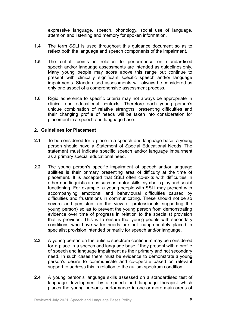expressive language, speech, phonology, social use of language, attention and listening and memory for spoken information.

- **1.4** The term SSLI is used throughout this guidance document so as to reflect both the language and speech components of the impairment.
- **1.5** The cut-off points in relation to performance on standardised speech and/or language assessments are intended as guidelines only. Many young people may score above this range but continue to present with clinically significant specific speech and/or language impairments. Standardised assessments will always be considered as only one aspect of a comprehensive assessment process.
- **1.6** Rigid adherence to specific criteria may not always be appropriate in clinical and educational contexts. Therefore each young person's unique combination of relative strengths, presenting difficulties and their changing profile of needs will be taken into consideration for placement in a speech and language base.

#### 2. **Guidelines for Placement**

- **2.1** To be considered for a place in a speech and language base, a young person should have a Statement of Special Educational Needs. The statement must indicate specific speech and/or language impairment as a primary special educational need.
- **2.2** The young person's specific impairment of speech and/or language abilities is their primary presenting area of difficulty at the time of placement. It is accepted that SSLI often co-exits with difficulties in other non-linguistic areas such as motor skills, symbolic play and social functioning. For example, a young people with SSLI may present with accompanying emotional and behavioural difficulties caused by difficulties and frustrations in communicating. These should not be so severe and persistent (in the view of professionals supporting the young person) so as to prevent the young person from demonstrating evidence over time of progress in relation to the specialist provision that is provided. This is to ensure that young people with secondary conditions who have wider needs are not inappropriately placed in specialist provision intended primarily for speech and/or language.
- **2.3** A young person on the autistic spectrum continuum may be considered for a place in a speech and language base if they present with a profile of speech and language impairment as their primary and not secondary need. In such cases there must be evidence to demonstrate a young person's desire to communicate and co-operate based on relevant support to address this in relation to the autism spectrum condition.
- **2.4** A young person's language skills assessed on a standardised test of language development by a speech and language therapist which places the young person's performance in one or more main areas of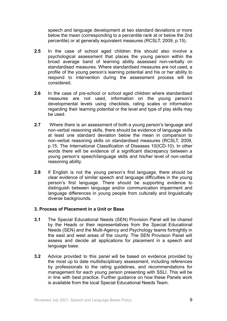speech and language development at two standard deviations or more below the mean (corresponding to a percentile rank at or below the 2nd percentile) or at generally equivalent measures (RCSLT, 2009, p.15).

- **2.5** In the case of school aged children this should also involve a psychological assessment that places the young person within the broad average band of learning ability assessed non-verbally on standardised measures. Where standardised measures are not used, a profile of the young person's learning potential and his or her ability to respond to intervention during the assessment process will be considered.
- **2.6** In the case of pre-school or school aged children where standardised measures are not used, information on the young person's developmental levels using checklists, rating scales or information regarding their learning potential or the level and type of play skills may be used.
- **2.7** Where there is an assessment of both a young person's language and non-verbal reasoning skills, there should be evidence of language skills at least one standard deviation below the mean in comparison to non-verbal reasoning skills on standardised measures (RCSLT, 2009, p.15; The International Classification of Diseases 10(ICD-10). In other words there will be evidence of a significant discrepancy between a young person's speech/language skills and his/her level of non-verbal reasoning ability.
- **2.8** If English is not the young person's first language, there should be clear evidence of similar speech and language difficulties in the young person's first language. There should be supporting evidence to distinguish between language and/or communication impairment and language differences in young people from culturally and linguistically diverse backgrounds.

#### **3. Process of Placement in a Unit or Base**

- **3.1** The Special Educational Needs (SEN) Provision Panel will be chaired by the Heads or their representatives from the Special Educational Needs (SEN) and the Multi-Agency and Psychology teams fortnightly in the east and west areas of the county. The SEN Provision Panel will assess and decide all applications for placement in a speech and language base.
- **3.2** Advice provided to this panel will be based on evidence provided by the most up to date multidisciplinary assessment, including references by professionals to the rating guidelines, and recommendations for management for each young person presenting with SSLI. This will be in line with best practice. Further guidance on how these Panels work is available from the local Special Educational Needs Team.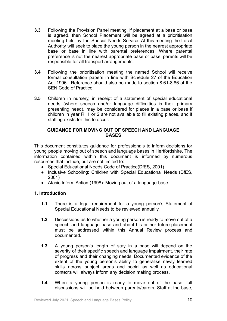- **3.3** Following the Provision Panel meeting, if placement at a base or base is agreed, then School Placement will be agreed at a prioritisation meeting held by the Special Needs Service. At this meeting the Local Authority will seek to place the young person in the nearest appropriate base or base in line with parental preferences. Where parental preference is not the nearest appropriate base or base, parents will be responsible for all transport arrangements.
- **3.4** Following the prioritisation meeting the named School will receive formal consultation papers in line with Schedule 27 of the Education Act 1996. Reference should also be made to section 8.61-8.86 of the SEN Code of Practice.
- **3.5** Children in nursery, in receipt of a statement of special educational needs (where speech and/or language difficulties is their primary presenting need), may be considered for places in a base or base if children in year R, 1 or 2 are not available to fill existing places, and if staffing exists for this to occur*.*

#### **GUIDANCE FOR MOVING OUT OF SPEECH AND LANGUAGE BASES**

This document constitutes guidance for professionals to inform decisions for young people moving out of speech and language bases in Hertfordshire. The information contained within this document is informed by numerous resources that include, but are not limited to:

- Special Educational Needs Code of Practice(DfES, 2001)
- Inclusive Schooling: Children with Special Educational Needs (DfES, 2001)
- Afasic Inform Action (1998): Moving out of a language base

# **1. Introduction**

- **1.1** There is a legal requirement for a young person's Statement of Special Educational Needs to be reviewed annually.
- **1.2** Discussions as to whether a young person is ready to move out of a speech and language base and about his or her future placement must be addressed within this Annual Review process and documented.
- **1.3** A young person's length of stay in a base will depend on the severity of their specific speech and language impairment, their rate of progress and their changing needs. Documented evidence of the extent of the young person's ability to generalise newly learned skills across subject areas and social as well as educational contexts will always inform any decision making process.
- **1.4** When a young person is ready to move out of the base, full discussions will be held between parents/carers, Staff at the base,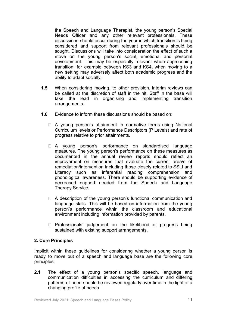the Speech and Language Therapist, the young person's Special Needs Officer and any other relevant professionals. These discussions should occur during the year in which transition is being considered and support from relevant professionals should be sought. Discussions will take into consideration the effect of such a move on the young person's social, emotional and personal development. This may be especially relevant when approaching transition, for example between KS3 and KS4, when moving to a new setting may adversely affect both academic progress and the ability to adapt socially.

- **1.5** When considering moving, to other provision, interim reviews can be called at the discretion of staff in the nit. Staff in the base will take the lead in organising and implementing transition arrangements.
- **1.6** Evidence to inform these discussions should be based on:
	- $\Box$  A young person's attainment in normative terms using National Curriculum levels or Performance Descriptors (P Levels) and rate of progress relative to prior attainments.
	- □ A young person's performance on standardised language measures. The young person's performance on these measures as documented in the annual review reports should reflect an improvement on measures that evaluate the current area/s of remediation/intervention including those closely related to SSLI and Literacy such as inferential reading comprehension and phonological awareness. There should be supporting evidence of decreased support needed from the Speech and Language Therapy Service.
	- $\Box$  A description of the young person's functional communication and language skills. This will be based on information from the young person's performance within the classroom and educational environment including information provided by parents.
	- ⮚ Professionals' judgement on the likelihood of progress being sustained with existing support arrangements.

#### **2. Core Principles**

Implicit within these guidelines for considering whether a young person is ready to move out of a speech and language base are the following core principles:

**2.1** The effect of a young person's specific speech, language and communication difficulties in accessing the curriculum and differing patterns of need should be reviewed regularly over time in the light of a changing profile of needs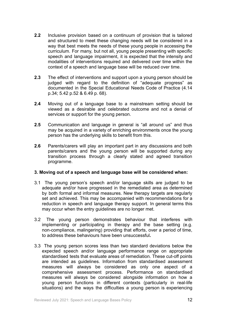- **2.2** Inclusive provision based on a continuum of provision that is tailored and structured to meet these changing needs will be considered in a way that best meets the needs of these young people in accessing the curriculum. For many, but not all, young people presenting with specific speech and language impairment, it is expected that the intensity and modalities of interventions required and delivered over time within the context of a speech and language base will be reduced over time.
- **2.3** The effect of interventions and support upon a young person should be judged with regard to the definition of "adequate progress" as documented in the Special Educational Needs Code of Practice (4.14 p.34; 5.42 p.52 & 6.49 p. 68).
- **2.4** Moving out of a language base to a mainstream setting should be viewed as a desirable and celebrated outcome and not a denial of services or support for the young person.
- **2.5** Communication and language in general is "all around us" and thus may be acquired in a variety of enriching environments once the young person has the underlying skills to benefit from this.
- **2.6** Parents/carers will play an important part in any discussions and both parents/carers and the young person will be supported during any transition process through a clearly stated and agreed transition programme.

#### **3. Moving out of a speech and language base will be considered when:**

- 3.1 The young person's speech and/or language skills are judged to be adequate and/or have progressed in the remediated area as determined by both formal and informal measures. New therapy targets are regularly set and achieved. This may be accompanied with recommendations for a reduction in speech and language therapy support. In general terms this may occur when the entry guidelines are no longer met.
- 3.2 The young person demonstrates behaviour that interferes with implementing or participating in therapy and the base setting (e.g. non-compliance, malingering) providing that efforts, over a period of time, to address these behaviours have been unsuccessful**.**
- 3.3 The young person scores less than two standard deviations below the expected speech and/or language performance range on appropriate standardised tests that evaluate areas of remediation. These cut-off points are intended as guidelines. Information from standardised assessment measures will always be considered as only one aspect of a comprehensive assessment process. Performance on standardised measures will always be considered alongside information on how a young person functions in different contexts (particularly in real-life situations) and the ways the difficulties a young person is experiencing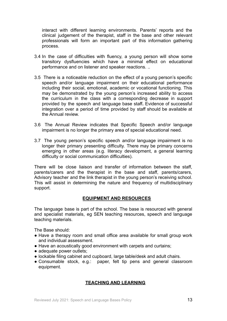interact with different learning environments. Parents' reports and the clinical judgement of the therapist, staff in the base and other relevant professionals will form an important part of this information gathering process.

- 3.4 In the case of difficulties with fluency, a young person will show some transitory dysfluencies which have a minimal effect on educational performance and on listener and speaker reactions. ..
- 3.5 There is a noticeable reduction on the effect of a young person's specific speech and/or language impairment on their educational performance including their social, emotional, academic or vocational functioning. This may be demonstrated by the young person's increased ability to access the curriculum in the class with a corresponding decrease in support provided by the speech and language base staff**.** Evidence of successful integration over a period of time provided by staff should be available at the Annual review.
- 3.6 The Annual Review indicates that Specific Speech and/or language impairment is no longer the primary area of special educational need.
- 3.7 The young person's specific speech and/or language impairment is no longer their primary presenting difficulty. There may be primary concerns emerging in other areas (e.g. literacy development, a general learning difficulty or social communication difficulties).

There will be close liaison and transfer of information between the staff, parents/carers and the therapist in the base and staff, parents/carers, Advisory teacher and the link therapist in the young person's receiving school. This will assist in determining the nature and frequency of multidisciplinary support.

# **EQUIPMENT AND RESOURCES**

The language base is part of the school. The base is resourced with general and specialist materials, eg SEN teaching resources, speech and language teaching materials.

The Base should:

- Have a therapy room and small office area available for small group work and individual assessment.
- Have an acoustically good environment with carpets and curtains;
- adequate power outlets;
- lockable filing cabinet and cupboard, large table/desk and adult chairs.
- Consumable stock, e.g.: paper, felt tip pens and general classroom equipment.

# **TEACHING AND LEARNING**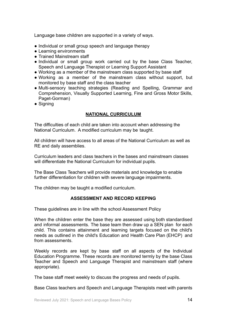Language base children are supported in a variety of ways.

- Individual or small group speech and language therapy
- Learning environments
- Trained Mainstream staff
- Individual or small group work carried out by the base Class Teacher, Speech and Language Therapist or Learning Support Assistant
- Working as a member of the mainstream class supported by base staff
- Working as a member of the mainstream class without support, but monitored by base staff and the class teacher
- Multi-sensory teaching strategies (Reading and Spelling, Grammar and Comprehension, Visually Supported Learning, Fine and Gross Motor Skills, Paget-Gorman)
- Signing

#### **NATIONAL CURRICULUM**

The difficulties of each child are taken into account when addressing the National Curriculum. A modified curriculum may be taught.

All children will have access to all areas of the National Curriculum as well as RE and daily assemblies.

Curriculum leaders and class teachers in the bases and mainstream classes will differentiate the National Curriculum for individual pupils.

The Base Class Teachers will provide materials and knowledge to enable further differentiation for children with severe language impairments.

The children may be taught a modified curriculum.

# **ASSESSMENT AND RECORD KEEPING**

These guidelines are in line with the school Assessment Policy

When the children enter the base they are assessed using both standardised and informal assessments. The base team then draw up a SEN plan for each child. This contains attainment and learning targets focused on the child's needs as outlined in the child's Education and Health Care Plan (EHCP) and from assessments.

Weekly records are kept by base staff on all aspects of the Individual Education Programme. These records are monitored termly by the base Class Teacher and Speech and Language Therapist and mainstream staff (where appropriate).

The base staff meet weekly to discuss the progress and needs of pupils.

Base Class teachers and Speech and Language Therapists meet with parents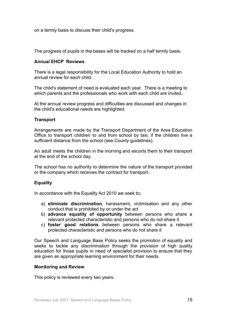on a termly basis to discuss their child's progress.

The progress of pupils in the bases will be tracked on a half termly basis.

#### **Annual EHCP Reviews**

There is a legal responsibility for the Local Education Authority to hold an annual review for each child.

The child's statement of need is evaluated each year. There is a meeting to which parents and the professionals who work with each child are invited.

At the annual review progress and difficulties are discussed and changes in the child's educational needs are highlighted.

#### **Transport**

Arrangements are made by the Transport Department of the Area Education Office to transport children to and from school by taxi, if the children live a sufficient distance from the school (see County guidelines).

An adult meets the children in the morning and escorts them to their transport at the end of the school day.

The school has no authority to determine the nature of the transport provided or the company which receives the contract for transport.

#### **Equality**

In accordance with the Equality Act 2010 we seek to;

- a) **eliminate discrimination**, harassment, victimisation and any other conduct that is prohibited by or under the act
- b) **advance equality of opportunity** between persons who share a relevant protected characteristic and persons who do not share it
- c) **foster good relations** between persons who share a relevant protected characteristic and persons who do not share it

Our Speech and Language Base Policy seeks the promotion of equality and seeks to tackle any discrimination through the provision of high quality education for those pupils in need of specialist provision to ensure that they are given an appropriate learning environment for their needs.

#### **Monitoring and Review**

This policy is reviewed every two years.